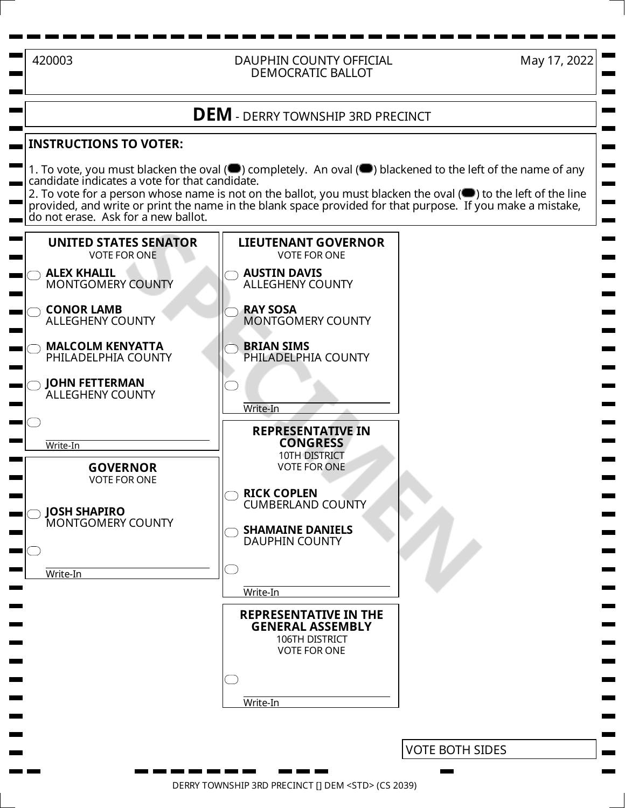## 420003 DAUPHIN COUNTY OFFICIAL DEMOCRATIC BALLOT

May 17, 2022

## **DEM** - DERRY TOWNSHIP 3RD PRECINCT

## **INSTRUCTIONS TO VOTER:**

1. To vote, you must blacken the oval ( $\blacksquare$ ) completely. An oval ( $\blacksquare$ ) blackened to the left of the name of any candidate indicates a vote for that candidate.

2. To vote for a person whose name is not on the ballot, you must blacken the oval  $($ **•**) to the left of the line provided, and write or print the name in the blank space provided for that purpose. If you make a mistake, do not erase. Ask for a new ballot.



VOTE BOTH SIDES